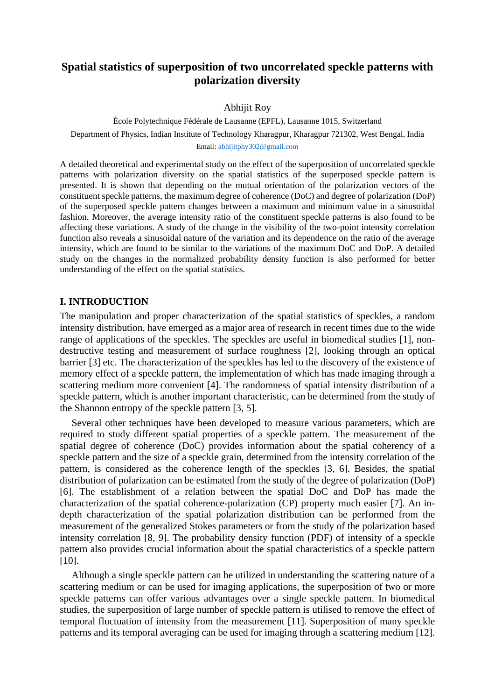# **Spatial statistics of superposition of two uncorrelated speckle patterns with polarization diversity**

### Abhijit Roy

École Polytechnique Fédérale de Lausanne (EPFL), Lausanne 1015, Switzerland Department of Physics, Indian Institute of Technology Kharagpur, Kharagpur 721302, West Bengal, India Email[: abhijitphy302@gmail.com](mailto:abhijitphy302@gmail.com)

A detailed theoretical and experimental study on the effect of the superposition of uncorrelated speckle patterns with polarization diversity on the spatial statistics of the superposed speckle pattern is presented. It is shown that depending on the mutual orientation of the polarization vectors of the constituent speckle patterns, the maximum degree of coherence (DoC) and degree of polarization (DoP) of the superposed speckle pattern changes between a maximum and minimum value in a sinusoidal fashion. Moreover, the average intensity ratio of the constituent speckle patterns is also found to be affecting these variations. A study of the change in the visibility of the two-point intensity correlation function also reveals a sinusoidal nature of the variation and its dependence on the ratio of the average intensity, which are found to be similar to the variations of the maximum DoC and DoP. A detailed study on the changes in the normalized probability density function is also performed for better understanding of the effect on the spatial statistics.

## **I. INTRODUCTION**

The manipulation and proper characterization of the spatial statistics of speckles, a random intensity distribution, have emerged as a major area of research in recent times due to the wide range of applications of the speckles. The speckles are useful in biomedical studies [1], nondestructive testing and measurement of surface roughness [2], looking through an optical barrier [3] etc. The characterization of the speckles has led to the discovery of the existence of memory effect of a speckle pattern, the implementation of which has made imaging through a scattering medium more convenient [4]. The randomness of spatial intensity distribution of a speckle pattern, which is another important characteristic, can be determined from the study of the Shannon entropy of the speckle pattern [3, 5].

Several other techniques have been developed to measure various parameters, which are required to study different spatial properties of a speckle pattern. The measurement of the spatial degree of coherence (DoC) provides information about the spatial coherency of a speckle pattern and the size of a speckle grain, determined from the intensity correlation of the pattern, is considered as the coherence length of the speckles [3, 6]. Besides, the spatial distribution of polarization can be estimated from the study of the degree of polarization (DoP) [6]. The establishment of a relation between the spatial DoC and DoP has made the characterization of the spatial coherence-polarization (CP) property much easier [7]. An indepth characterization of the spatial polarization distribution can be performed from the measurement of the generalized Stokes parameters or from the study of the polarization based intensity correlation [8, 9]. The probability density function (PDF) of intensity of a speckle pattern also provides crucial information about the spatial characteristics of a speckle pattern [10].

Although a single speckle pattern can be utilized in understanding the scattering nature of a scattering medium or can be used for imaging applications, the superposition of two or more speckle patterns can offer various advantages over a single speckle pattern. In biomedical studies, the superposition of large number of speckle pattern is utilised to remove the effect of temporal fluctuation of intensity from the measurement [11]. Superposition of many speckle patterns and its temporal averaging can be used for imaging through a scattering medium [12].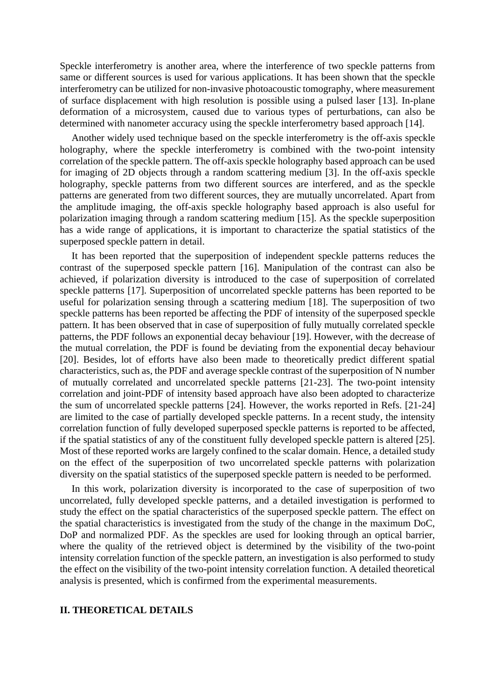Speckle interferometry is another area, where the interference of two speckle patterns from same or different sources is used for various applications. It has been shown that the speckle interferometry can be utilized for non-invasive photoacoustic tomography, where measurement of surface displacement with high resolution is possible using a pulsed laser [13]. In-plane deformation of a microsystem, caused due to various types of perturbations, can also be determined with nanometer accuracy using the speckle interferometry based approach [14].

Another widely used technique based on the speckle interferometry is the off-axis speckle holography, where the speckle interferometry is combined with the two-point intensity correlation of the speckle pattern. The off-axis speckle holography based approach can be used for imaging of 2D objects through a random scattering medium [3]. In the off-axis speckle holography, speckle patterns from two different sources are interfered, and as the speckle patterns are generated from two different sources, they are mutually uncorrelated. Apart from the amplitude imaging, the off-axis speckle holography based approach is also useful for polarization imaging through a random scattering medium [15]. As the speckle superposition has a wide range of applications, it is important to characterize the spatial statistics of the superposed speckle pattern in detail.

It has been reported that the superposition of independent speckle patterns reduces the contrast of the superposed speckle pattern [16]. Manipulation of the contrast can also be achieved, if polarization diversity is introduced to the case of superposition of correlated speckle patterns [17]. Superposition of uncorrelated speckle patterns has been reported to be useful for polarization sensing through a scattering medium [18]. The superposition of two speckle patterns has been reported be affecting the PDF of intensity of the superposed speckle pattern. It has been observed that in case of superposition of fully mutually correlated speckle patterns, the PDF follows an exponential decay behaviour [19]. However, with the decrease of the mutual correlation, the PDF is found be deviating from the exponential decay behaviour [20]. Besides, lot of efforts have also been made to theoretically predict different spatial characteristics, such as, the PDF and average speckle contrast of the superposition of N number of mutually correlated and uncorrelated speckle patterns [21-23]. The two-point intensity correlation and joint-PDF of intensity based approach have also been adopted to characterize the sum of uncorrelated speckle patterns [24]. However, the works reported in Refs. [21-24] are limited to the case of partially developed speckle patterns. In a recent study, the intensity correlation function of fully developed superposed speckle patterns is reported to be affected, if the spatial statistics of any of the constituent fully developed speckle pattern is altered [25]. Most of these reported works are largely confined to the scalar domain. Hence, a detailed study on the effect of the superposition of two uncorrelated speckle patterns with polarization diversity on the spatial statistics of the superposed speckle pattern is needed to be performed.

In this work, polarization diversity is incorporated to the case of superposition of two uncorrelated, fully developed speckle patterns, and a detailed investigation is performed to study the effect on the spatial characteristics of the superposed speckle pattern. The effect on the spatial characteristics is investigated from the study of the change in the maximum DoC, DoP and normalized PDF. As the speckles are used for looking through an optical barrier, where the quality of the retrieved object is determined by the visibility of the two-point intensity correlation function of the speckle pattern, an investigation is also performed to study the effect on the visibility of the two-point intensity correlation function. A detailed theoretical analysis is presented, which is confirmed from the experimental measurements.

## **II. THEORETICAL DETAILS**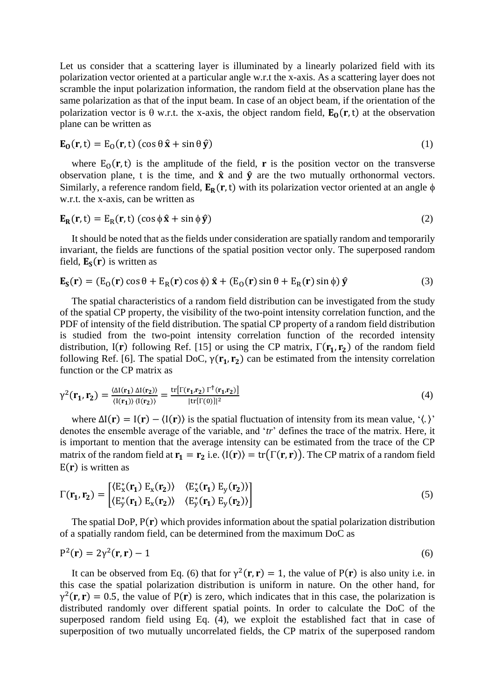Let us consider that a scattering layer is illuminated by a linearly polarized field with its polarization vector oriented at a particular angle w.r.t the x-axis. As a scattering layer does not scramble the input polarization information, the random field at the observation plane has the same polarization as that of the input beam. In case of an object beam, if the orientation of the polarization vector is  $\theta$  w.r.t. the x-axis, the object random field,  $\mathbf{E}_0(\mathbf{r}, t)$  at the observation plane can be written as

$$
\mathbf{E}_0(\mathbf{r}, t) = \mathbf{E}_0(\mathbf{r}, t) (\cos \theta \,\hat{\mathbf{x}} + \sin \theta \,\hat{\mathbf{y}}) \tag{1}
$$

where  $E_0(r, t)$  is the amplitude of the field, **r** is the position vector on the transverse observation plane, t is the time, and  $\hat{x}$  and  $\hat{y}$  are the two mutually orthonormal vectors. Similarly, a reference random field,  $E_R(r, t)$  with its polarization vector oriented at an angle  $\phi$ w.r.t. the x-axis, can be written as

$$
\mathbf{E}_{\mathbf{R}}(\mathbf{r},t) = \mathbf{E}_{\mathbf{R}}(\mathbf{r},t) (\cos \phi \,\hat{\mathbf{x}} + \sin \phi \,\hat{\mathbf{y}}) \tag{2}
$$

It should be noted that as the fields under consideration are spatially random and temporarily invariant, the fields are functions of the spatial position vector only. The superposed random field,  $E_S(r)$  is written as

$$
\mathbf{E}_{\mathbf{S}}(\mathbf{r}) = (\mathbf{E}_{\mathbf{O}}(\mathbf{r})\cos\theta + \mathbf{E}_{\mathbf{R}}(\mathbf{r})\cos\phi)\,\hat{\mathbf{x}} + (\mathbf{E}_{\mathbf{O}}(\mathbf{r})\sin\theta + \mathbf{E}_{\mathbf{R}}(\mathbf{r})\sin\phi)\,\hat{\mathbf{y}} \tag{3}
$$

The spatial characteristics of a random field distribution can be investigated from the study of the spatial CP property, the visibility of the two-point intensity correlation function, and the PDF of intensity of the field distribution. The spatial CP property of a random field distribution is studied from the two-point intensity correlation function of the recorded intensity distribution, I(r) following Ref. [15] or using the CP matrix,  $\Gamma(\mathbf{r_1}, \mathbf{r_2})$  of the random field following Ref. [6]. The spatial DoC,  $\gamma(\mathbf{r_1}, \mathbf{r_2})$  can be estimated from the intensity correlation function or the CP matrix as

$$
\gamma^2(\mathbf{r}_1, \mathbf{r}_2) = \frac{\langle \Delta I(\mathbf{r}_1) \, \Delta I(\mathbf{r}_2) \rangle}{\langle I(\mathbf{r}_1) \rangle \, \langle I(\mathbf{r}_2) \rangle} = \frac{\text{tr}[\Gamma(\mathbf{r}_1, \mathbf{r}_2) \, \Gamma^\dagger(\mathbf{r}_1, \mathbf{r}_2)]}{|\text{tr}[\Gamma(0)]|^2} \tag{4}
$$

where  $\Delta I(r) = I(r) - \langle I(r) \rangle$  is the spatial fluctuation of intensity from its mean value,  $\langle \cdot, \cdot \rangle$ denotes the ensemble average of the variable, and '*tr*' defines the trace of the matrix. Here, it is important to mention that the average intensity can be estimated from the trace of the CP matrix of the random field at  ${\bf r_1} = {\bf r_2}$  i.e.  $\langle I({\bf r}) \rangle = \text{tr}(\Gamma({\bf r},{\bf r}))$ . The CP matrix of a random field  $E(r)$  is written as

$$
\Gamma(\mathbf{r_1}, \mathbf{r_2}) = \begin{bmatrix} \langle E_x^*(\mathbf{r_1}) \ E_x(\mathbf{r_2}) \rangle & \langle E_x^*(\mathbf{r_1}) \ E_y(\mathbf{r_2}) \rangle \\ \langle E_y^*(\mathbf{r_1}) \ E_x(\mathbf{r_2}) \rangle & \langle E_y^*(\mathbf{r_1}) \ E_y(\mathbf{r_2}) \rangle \end{bmatrix}
$$
\n(5)

The spatial DoP,  $P(r)$  which provides information about the spatial polarization distribution of a spatially random field, can be determined from the maximum DoC as

$$
P^2(r) = 2\gamma^2(r,r) - 1\tag{6}
$$

It can be observed from Eq. (6) that for  $\gamma^2(\mathbf{r}, \mathbf{r}) = 1$ , the value of P(**r**) is also unity i.e. in this case the spatial polarization distribution is uniform in nature. On the other hand, for  $\gamma^2$ (r, r) = 0.5, the value of P(r) is zero, which indicates that in this case, the polarization is distributed randomly over different spatial points. In order to calculate the DoC of the superposed random field using Eq. (4), we exploit the established fact that in case of superposition of two mutually uncorrelated fields, the CP matrix of the superposed random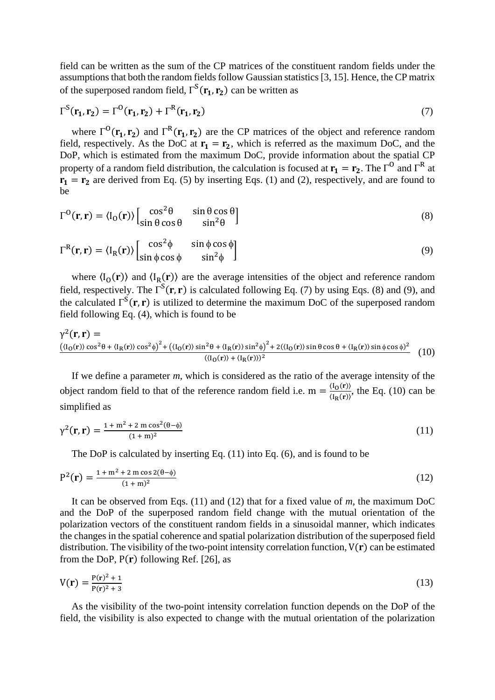field can be written as the sum of the CP matrices of the constituent random fields under the assumptions that both the random fields follow Gaussian statistics [3, 15]. Hence, the CP matrix of the superposed random field,  $\Gamma^{S}(\mathbf{r_{1}}, \mathbf{r_{2}})$  can be written as

$$
\Gamma^{S}(\mathbf{r}_{1}, \mathbf{r}_{2}) = \Gamma^{O}(\mathbf{r}_{1}, \mathbf{r}_{2}) + \Gamma^{R}(\mathbf{r}_{1}, \mathbf{r}_{2})
$$
\n(7)

where  $\Gamma^0(\mathbf{r}_1, \mathbf{r}_2)$  and  $\Gamma^R(\mathbf{r}_1, \mathbf{r}_2)$  are the CP matrices of the object and reference random field, respectively. As the DoC at  $r_1 = r_2$ , which is referred as the maximum DoC, and the DoP, which is estimated from the maximum DoC, provide information about the spatial CP property of a random field distribution, the calculation is focused at  $\mathbf{r}_1 = \mathbf{r}_2$ . The  $\Gamma^0$  and  $\Gamma^R$  at  $\mathbf{r_1} = \mathbf{r_2}$  are derived from Eq. (5) by inserting Eqs. (1) and (2), respectively, and are found to be

$$
\Gamma^{\text{O}}(\mathbf{r}, \mathbf{r}) = \langle I_{\text{O}}(\mathbf{r}) \rangle \begin{bmatrix} \cos^2 \theta & \sin \theta \cos \theta \\ \sin \theta \cos \theta & \sin^2 \theta \end{bmatrix} \tag{8}
$$

$$
\Gamma^{R}(\mathbf{r}, \mathbf{r}) = \langle I_{R}(\mathbf{r}) \rangle \begin{bmatrix} \cos^{2} \phi & \sin \phi \cos \phi \\ \sin \phi \cos \phi & \sin^{2} \phi \end{bmatrix}
$$
(9)

where  $\langle I_0(\mathbf{r})\rangle$  and  $\langle I_R(\mathbf{r})\rangle$  are the average intensities of the object and reference random field, respectively. The  $\Gamma^{S}(\mathbf{r}, \mathbf{r})$  is calculated following Eq. (7) by using Eqs. (8) and (9), and the calculated  $\Gamma^{S}(\mathbf{r}, \mathbf{r})$  is utilized to determine the maximum DoC of the superposed random field following Eq. (4), which is found to be

$$
\gamma^{2}(\mathbf{r}, \mathbf{r}) = \frac{(\langle I_{0}(\mathbf{r}) \rangle \cos^{2} \theta + \langle I_{R}(\mathbf{r}) \rangle \cos^{2} \phi)^{2} + (\langle I_{0}(\mathbf{r}) \rangle \sin^{2} \theta + \langle I_{R}(\mathbf{r}) \rangle \sin^{2} \phi)^{2} + 2(\langle I_{0}(\mathbf{r}) \rangle \sin \theta \cos \theta + \langle I_{R}(\mathbf{r}) \rangle \sin \phi \cos \phi)^{2}}{(\langle I_{0}(\mathbf{r}) \rangle + \langle I_{R}(\mathbf{r}) \rangle)^{2}} \tag{10}
$$

If we define a parameter *m*, which is considered as the ratio of the average intensity of the object random field to that of the reference random field i.e.  $m = \frac{\langle I_0(r) \rangle}{\langle I_0(r) \rangle}$  $\frac{\Gamma(\mathbf{O}(1))}{\Gamma(\mathbf{R}(\mathbf{r}))}$ , the Eq. (10) can be simplified as

$$
\gamma^{2}(\mathbf{r}, \mathbf{r}) = \frac{1 + m^{2} + 2 m \cos^{2}(\theta - \phi)}{(1 + m)^{2}}
$$
(11)

The DoP is calculated by inserting Eq. (11) into Eq. (6), and is found to be

$$
P^{2}(r) = \frac{1 + m^{2} + 2 m \cos(2(\theta - \phi))}{(1 + m)^{2}}
$$
(12)

It can be observed from Eqs. (11) and (12) that for a fixed value of *m*, the maximum DoC and the DoP of the superposed random field change with the mutual orientation of the polarization vectors of the constituent random fields in a sinusoidal manner, which indicates the changes in the spatial coherence and spatial polarization distribution of the superposed field distribution. The visibility of the two-point intensity correlation function,  $V(r)$  can be estimated from the DoP,  $P(r)$  following Ref. [26], as

$$
V(r) = \frac{P(r)^2 + 1}{P(r)^2 + 3}
$$
 (13)

As the visibility of the two-point intensity correlation function depends on the DoP of the field, the visibility is also expected to change with the mutual orientation of the polarization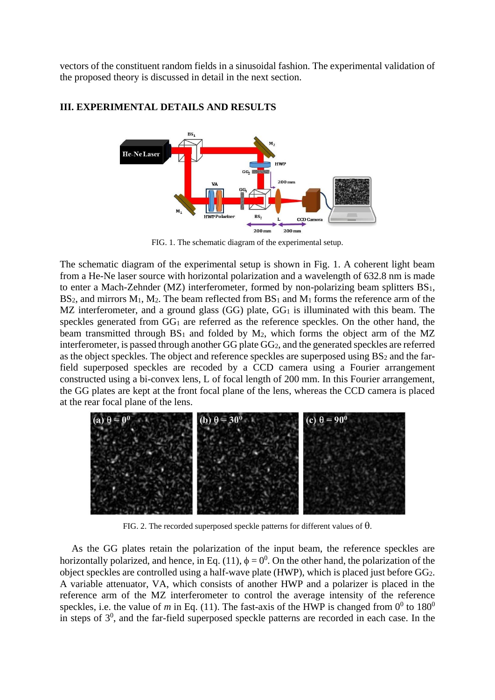vectors of the constituent random fields in a sinusoidal fashion. The experimental validation of the proposed theory is discussed in detail in the next section.



## **III. EXPERIMENTAL DETAILS AND RESULTS**

FIG. 1. The schematic diagram of the experimental setup.

The schematic diagram of the experimental setup is shown in Fig. 1. A coherent light beam from a He-Ne laser source with horizontal polarization and a wavelength of 632.8 nm is made to enter a Mach-Zehnder (MZ) interferometer, formed by non-polarizing beam splitters BS1,  $BS<sub>2</sub>$ , and mirrors  $M<sub>1</sub>$ ,  $M<sub>2</sub>$ . The beam reflected from  $BS<sub>1</sub>$  and  $M<sub>1</sub>$  forms the reference arm of the MZ interferometer, and a ground glass (GG) plate, GG<sub>1</sub> is illuminated with this beam. The speckles generated from GG<sub>1</sub> are referred as the reference speckles. On the other hand, the beam transmitted through  $BS_1$  and folded by  $M_2$ , which forms the object arm of the MZ interferometer, is passed through another GG plate GG2, and the generated speckles are referred as the object speckles. The object and reference speckles are superposed using BS<sup>2</sup> and the farfield superposed speckles are recoded by a CCD camera using a Fourier arrangement constructed using a bi-convex lens, L of focal length of 200 mm. In this Fourier arrangement, the GG plates are kept at the front focal plane of the lens, whereas the CCD camera is placed at the rear focal plane of the lens.



FIG. 2. The recorded superposed speckle patterns for different values of  $\theta$ .

As the GG plates retain the polarization of the input beam, the reference speckles are horizontally polarized, and hence, in Eq. (11),  $\phi = 0^0$ . On the other hand, the polarization of the object speckles are controlled using a half-wave plate (HWP), which is placed just before GG2. A variable attenuator, VA, which consists of another HWP and a polarizer is placed in the reference arm of the MZ interferometer to control the average intensity of the reference speckles, i.e. the value of *m* in Eq. (11). The fast-axis of the HWP is changed from  $0^0$  to  $180^0$ in steps of  $3<sup>0</sup>$ , and the far-field superposed speckle patterns are recorded in each case. In the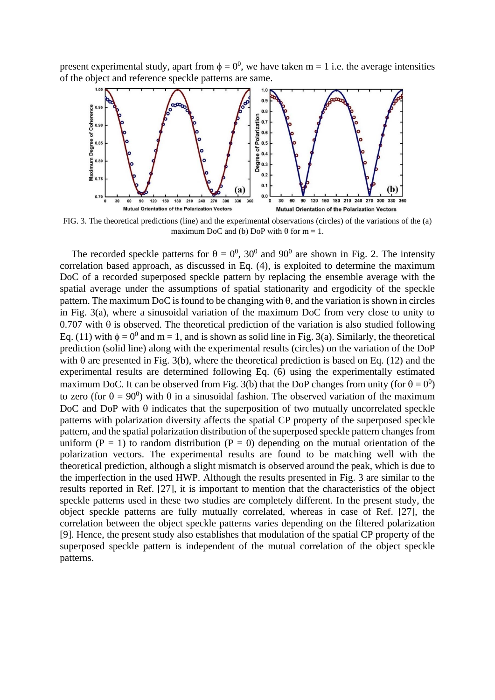present experimental study, apart from  $\phi = 0^0$ , we have taken m = 1 i.e. the average intensities of the object and reference speckle patterns are same.



FIG. 3. The theoretical predictions (line) and the experimental observations (circles) of the variations of the (a) maximum DoC and (b) DoP with  $\theta$  for m = 1.

The recorded speckle patterns for  $\theta = 0^0$ , 30<sup>0</sup> and 90<sup>0</sup> are shown in Fig. 2. The intensity correlation based approach, as discussed in Eq. (4), is exploited to determine the maximum DoC of a recorded superposed speckle pattern by replacing the ensemble average with the spatial average under the assumptions of spatial stationarity and ergodicity of the speckle pattern. The maximum DoC is found to be changing with  $\theta$ , and the variation is shown in circles in Fig. 3(a), where a sinusoidal variation of the maximum DoC from very close to unity to 0.707 with  $\theta$  is observed. The theoretical prediction of the variation is also studied following Eq. (11) with  $\phi = 0^0$  and m = 1, and is shown as solid line in Fig. 3(a). Similarly, the theoretical prediction (solid line) along with the experimental results (circles) on the variation of the DoP with  $\theta$  are presented in Fig. 3(b), where the theoretical prediction is based on Eq. (12) and the experimental results are determined following Eq. (6) using the experimentally estimated maximum DoC. It can be observed from Fig. 3(b) that the DoP changes from unity (for  $\theta = 0^0$ ) to zero (for  $\theta = 90^0$ ) with  $\theta$  in a sinusoidal fashion. The observed variation of the maximum DoC and DoP with  $\theta$  indicates that the superposition of two mutually uncorrelated speckle patterns with polarization diversity affects the spatial CP property of the superposed speckle pattern, and the spatial polarization distribution of the superposed speckle pattern changes from uniform  $(P = 1)$  to random distribution  $(P = 0)$  depending on the mutual orientation of the polarization vectors. The experimental results are found to be matching well with the theoretical prediction, although a slight mismatch is observed around the peak, which is due to the imperfection in the used HWP. Although the results presented in Fig. 3 are similar to the results reported in Ref. [27], it is important to mention that the characteristics of the object speckle patterns used in these two studies are completely different. In the present study, the object speckle patterns are fully mutually correlated, whereas in case of Ref. [27], the correlation between the object speckle patterns varies depending on the filtered polarization [9]. Hence, the present study also establishes that modulation of the spatial CP property of the superposed speckle pattern is independent of the mutual correlation of the object speckle patterns.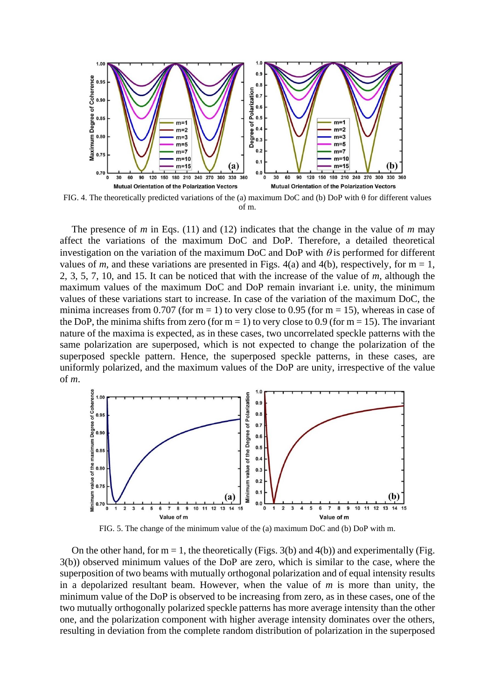

FIG. 4. The theoretically predicted variations of the (a) maximum DoC and (b) DoP with  $\theta$  for different values of m.

The presence of *m* in Eqs. (11) and (12) indicates that the change in the value of *m* may affect the variations of the maximum DoC and DoP. Therefore, a detailed theoretical investigation on the variation of the maximum DoC and DoP with  $\theta$  is performed for different values of *m*, and these variations are presented in Figs.  $4(a)$  and  $4(b)$ , respectively, for m = 1, 2, 3, 5, 7, 10, and 15. It can be noticed that with the increase of the value of *m*, although the maximum values of the maximum DoC and DoP remain invariant i.e. unity, the minimum values of these variations start to increase. In case of the variation of the maximum DoC, the minima increases from 0.707 (for  $m = 1$ ) to very close to 0.95 (for  $m = 15$ ), whereas in case of the DoP, the minima shifts from zero (for  $m = 1$ ) to very close to 0.9 (for  $m = 15$ ). The invariant nature of the maxima is expected, as in these cases, two uncorrelated speckle patterns with the same polarization are superposed, which is not expected to change the polarization of the superposed speckle pattern. Hence, the superposed speckle patterns, in these cases, are uniformly polarized, and the maximum values of the DoP are unity, irrespective of the value of *m*.



FIG. 5. The change of the minimum value of the (a) maximum DoC and (b) DoP with m.

On the other hand, for  $m = 1$ , the theoretically (Figs. 3(b) and 4(b)) and experimentally (Fig. 3(b)) observed minimum values of the DoP are zero, which is similar to the case, where the superposition of two beams with mutually orthogonal polarization and of equal intensity results in a depolarized resultant beam. However, when the value of *m* is more than unity, the minimum value of the DoP is observed to be increasing from zero, as in these cases, one of the two mutually orthogonally polarized speckle patterns has more average intensity than the other one, and the polarization component with higher average intensity dominates over the others, resulting in deviation from the complete random distribution of polarization in the superposed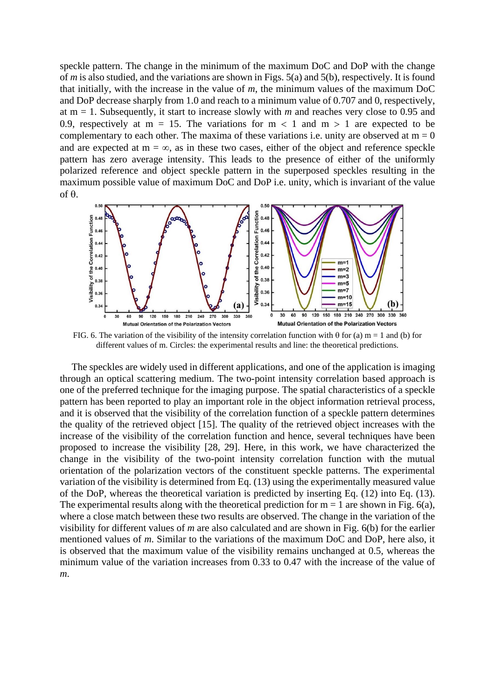speckle pattern. The change in the minimum of the maximum DoC and DoP with the change of *m* is also studied, and the variations are shown in Figs. 5(a) and 5(b), respectively. It is found that initially, with the increase in the value of *m*, the minimum values of the maximum DoC and DoP decrease sharply from 1.0 and reach to a minimum value of 0.707 and 0, respectively, at m = 1. Subsequently, it start to increase slowly with *m* and reaches very close to 0.95 and 0.9, respectively at m = 15. The variations for m  $\lt$  1 and m  $> 1$  are expected to be complementary to each other. The maxima of these variations i.e. unity are observed at  $m = 0$ and are expected at  $m = \infty$ , as in these two cases, either of the object and reference speckle pattern has zero average intensity. This leads to the presence of either of the uniformly polarized reference and object speckle pattern in the superposed speckles resulting in the maximum possible value of maximum DoC and DoP i.e. unity, which is invariant of the value of  $\theta$ .



FIG. 6. The variation of the visibility of the intensity correlation function with  $\theta$  for (a) m = 1 and (b) for different values of m. Circles: the experimental results and line: the theoretical predictions.

The speckles are widely used in different applications, and one of the application is imaging through an optical scattering medium. The two-point intensity correlation based approach is one of the preferred technique for the imaging purpose. The spatial characteristics of a speckle pattern has been reported to play an important role in the object information retrieval process, and it is observed that the visibility of the correlation function of a speckle pattern determines the quality of the retrieved object [15]. The quality of the retrieved object increases with the increase of the visibility of the correlation function and hence, several techniques have been proposed to increase the visibility [28, 29]. Here, in this work, we have characterized the change in the visibility of the two-point intensity correlation function with the mutual orientation of the polarization vectors of the constituent speckle patterns. The experimental variation of the visibility is determined from Eq. (13) using the experimentally measured value of the DoP, whereas the theoretical variation is predicted by inserting Eq. (12) into Eq. (13). The experimental results along with the theoretical prediction for  $m = 1$  are shown in Fig. 6(a), where a close match between these two results are observed. The change in the variation of the visibility for different values of *m* are also calculated and are shown in Fig. 6(b) for the earlier mentioned values of *m*. Similar to the variations of the maximum DoC and DoP, here also, it is observed that the maximum value of the visibility remains unchanged at 0.5, whereas the minimum value of the variation increases from 0.33 to 0.47 with the increase of the value of *m*.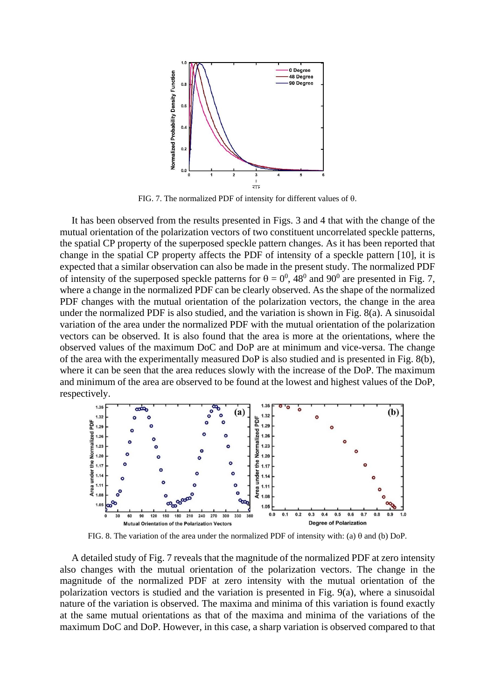

FIG. 7. The normalized PDF of intensity for different values of  $\theta$ .

It has been observed from the results presented in Figs. 3 and 4 that with the change of the mutual orientation of the polarization vectors of two constituent uncorrelated speckle patterns, the spatial CP property of the superposed speckle pattern changes. As it has been reported that change in the spatial CP property affects the PDF of intensity of a speckle pattern [10], it is expected that a similar observation can also be made in the present study. The normalized PDF of intensity of the superposed speckle patterns for  $\theta = 0^0$ , 48<sup>0</sup> and 90<sup>0</sup> are presented in Fig. 7, where a change in the normalized PDF can be clearly observed. As the shape of the normalized PDF changes with the mutual orientation of the polarization vectors, the change in the area under the normalized PDF is also studied, and the variation is shown in Fig. 8(a). A sinusoidal variation of the area under the normalized PDF with the mutual orientation of the polarization vectors can be observed. It is also found that the area is more at the orientations, where the observed values of the maximum DoC and DoP are at minimum and vice-versa. The change of the area with the experimentally measured DoP is also studied and is presented in Fig. 8(b), where it can be seen that the area reduces slowly with the increase of the DoP. The maximum and minimum of the area are observed to be found at the lowest and highest values of the DoP, respectively.



FIG. 8. The variation of the area under the normalized PDF of intensity with: (a)  $\theta$  and (b) DoP.

A detailed study of Fig. 7 reveals that the magnitude of the normalized PDF at zero intensity also changes with the mutual orientation of the polarization vectors. The change in the magnitude of the normalized PDF at zero intensity with the mutual orientation of the polarization vectors is studied and the variation is presented in Fig. 9(a), where a sinusoidal nature of the variation is observed. The maxima and minima of this variation is found exactly at the same mutual orientations as that of the maxima and minima of the variations of the maximum DoC and DoP. However, in this case, a sharp variation is observed compared to that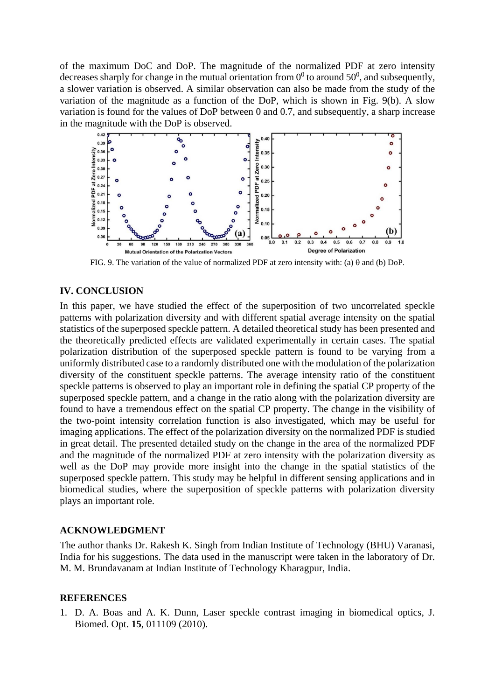of the maximum DoC and DoP. The magnitude of the normalized PDF at zero intensity decreases sharply for change in the mutual orientation from  $0^0$  to around 50<sup>0</sup>, and subsequently, a slower variation is observed. A similar observation can also be made from the study of the variation of the magnitude as a function of the DoP, which is shown in Fig. 9(b). A slow variation is found for the values of DoP between 0 and 0.7, and subsequently, a sharp increase in the magnitude with the DoP is observed.



FIG. 9. The variation of the value of normalized PDF at zero intensity with: (a)  $\theta$  and (b) DoP.

## **IV. CONCLUSION**

In this paper, we have studied the effect of the superposition of two uncorrelated speckle patterns with polarization diversity and with different spatial average intensity on the spatial statistics of the superposed speckle pattern. A detailed theoretical study has been presented and the theoretically predicted effects are validated experimentally in certain cases. The spatial polarization distribution of the superposed speckle pattern is found to be varying from a uniformly distributed case to a randomly distributed one with the modulation of the polarization diversity of the constituent speckle patterns. The average intensity ratio of the constituent speckle patterns is observed to play an important role in defining the spatial CP property of the superposed speckle pattern, and a change in the ratio along with the polarization diversity are found to have a tremendous effect on the spatial CP property. The change in the visibility of the two-point intensity correlation function is also investigated, which may be useful for imaging applications. The effect of the polarization diversity on the normalized PDF is studied in great detail. The presented detailed study on the change in the area of the normalized PDF and the magnitude of the normalized PDF at zero intensity with the polarization diversity as well as the DoP may provide more insight into the change in the spatial statistics of the superposed speckle pattern. This study may be helpful in different sensing applications and in biomedical studies, where the superposition of speckle patterns with polarization diversity plays an important role.

## **ACKNOWLEDGMENT**

The author thanks Dr. Rakesh K. Singh from Indian Institute of Technology (BHU) Varanasi, India for his suggestions. The data used in the manuscript were taken in the laboratory of Dr. M. M. Brundavanam at Indian Institute of Technology Kharagpur, India.

## **REFERENCES**

1. D. A. Boas and A. K. Dunn, Laser speckle contrast imaging in biomedical optics, J. Biomed. Opt. **15**, 011109 (2010).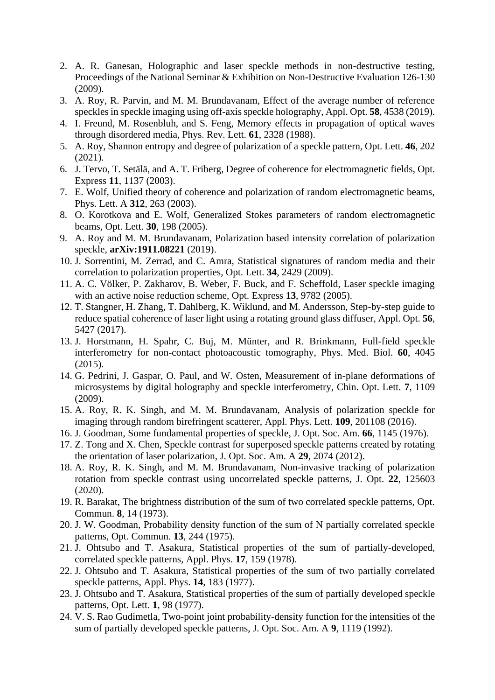- 2. A. R. Ganesan, Holographic and laser speckle methods in non-destructive testing, Proceedings of the National Seminar & Exhibition on Non-Destructive Evaluation 126-130 (2009).
- 3. A. Roy, R. Parvin, and M. M. Brundavanam, Effect of the average number of reference speckles in speckle imaging using off-axis speckle holography, Appl. Opt. **58**, 4538 (2019).
- 4. I. Freund, M. Rosenbluh, and S. Feng, Memory effects in propagation of optical waves through disordered media, Phys. Rev. Lett. **61**, 2328 (1988).
- 5. A. Roy, Shannon entropy and degree of polarization of a speckle pattern, Opt. Lett. **46**, 202 (2021).
- 6. J. Tervo, T. Setälä, and A. T. Friberg, Degree of coherence for electromagnetic fields, Opt. Express **11**, 1137 (2003).
- 7. E. Wolf, Unified theory of coherence and polarization of random electromagnetic beams, Phys. Lett. A **312**, 263 (2003).
- 8. O. Korotkova and E. Wolf, Generalized Stokes parameters of random electromagnetic beams, Opt. Lett. **30**, 198 (2005).
- 9. A. Roy and M. M. Brundavanam, Polarization based intensity correlation of polarization speckle, **arXiv:1911.08221** (2019).
- 10. J. Sorrentini, M. Zerrad, and C. Amra, Statistical signatures of random media and their correlation to polarization properties, Opt. Lett. **34**, 2429 (2009).
- 11. A. C. Völker, P. Zakharov, B. Weber, F. Buck, and F. Scheffold, Laser speckle imaging with an active noise reduction scheme, Opt. Express **13**, 9782 (2005).
- 12. T. Stangner, H. Zhang, T. Dahlberg, K. Wiklund, and M. Andersson, Step-by-step guide to reduce spatial coherence of laser light using a rotating ground glass diffuser, Appl. Opt. **56**, 5427 (2017).
- 13. J. Horstmann, H. Spahr, C. Buj, M. Münter, and R. Brinkmann, Full-field speckle interferometry for non-contact photoacoustic tomography, Phys. Med. Biol. **60**, 4045 (2015).
- 14. G. Pedrini, J. Gaspar, O. Paul, and W. Osten, Measurement of in-plane deformations of microsystems by digital holography and speckle interferometry, Chin. Opt. Lett. **7**, 1109 (2009).
- 15. A. Roy, R. K. Singh, and M. M. Brundavanam, Analysis of polarization speckle for imaging through random birefringent scatterer, Appl. Phys. Lett. **109**, 201108 (2016).
- 16. J. Goodman, Some fundamental properties of speckle, J. Opt. Soc. Am. **66**, 1145 (1976).
- 17. Z. Tong and X. Chen, Speckle contrast for superposed speckle patterns created by rotating the orientation of laser polarization, J. Opt. Soc. Am. A **29**, 2074 (2012).
- 18. A. Roy, R. K. Singh, and M. M. Brundavanam, Non-invasive tracking of polarization rotation from speckle contrast using uncorrelated speckle patterns, J. Opt. **22**, 125603 (2020).
- 19. R. Barakat, The brightness distribution of the sum of two correlated speckle patterns, Opt. Commun. **8**, 14 (1973).
- 20. J. W. Goodman, Probability density function of the sum of N partially correlated speckle patterns, Opt. Commun. **13**, 244 (1975).
- 21. J. Ohtsubo and T. Asakura, Statistical properties of the sum of partially-developed, correlated speckle patterns, Appl. Phys. **17**, 159 (1978).
- 22. J. Ohtsubo and T. Asakura, Statistical properties of the sum of two partially correlated speckle patterns, Appl. Phys. **14**, 183 (1977).
- 23. J. Ohtsubo and T. Asakura, Statistical properties of the sum of partially developed speckle patterns, Opt. Lett. **1**, 98 (1977).
- 24. V. S. Rao Gudimetla, Two-point joint probability-density function for the intensities of the sum of partially developed speckle patterns, J. Opt. Soc. Am. A **9**, 1119 (1992).